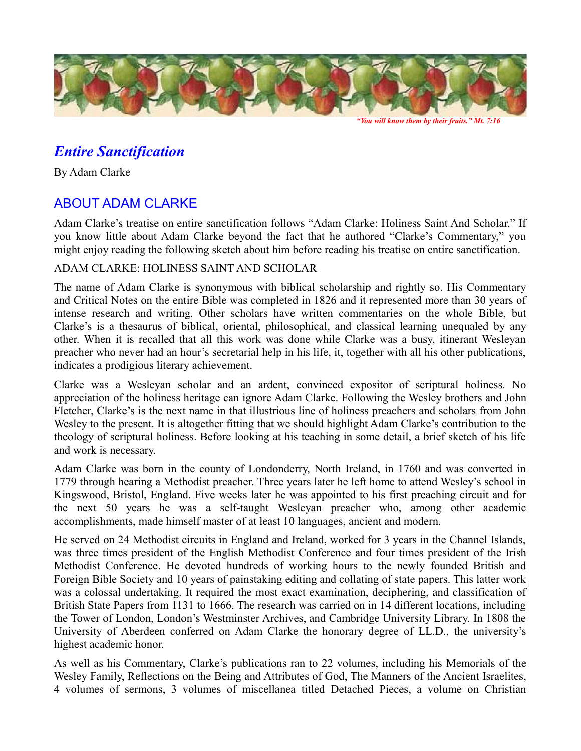

*"You will know them by their fruits." Mt. 7:16*

# *Entire Sanctification*

By Adam Clarke

## ABOUT ADAM CLARKE

Adam Clarke's treatise on entire sanctification follows "Adam Clarke: Holiness Saint And Scholar." If you know little about Adam Clarke beyond the fact that he authored "Clarke's Commentary," you might enjoy reading the following sketch about him before reading his treatise on entire sanctification.

### ADAM CLARKE: HOLINESS SAINT AND SCHOLAR

The name of Adam Clarke is synonymous with biblical scholarship and rightly so. His Commentary and Critical Notes on the entire Bible was completed in 1826 and it represented more than 30 years of intense research and writing. Other scholars have written commentaries on the whole Bible, but Clarke's is a thesaurus of biblical, oriental, philosophical, and classical learning unequaled by any other. When it is recalled that all this work was done while Clarke was a busy, itinerant Wesleyan preacher who never had an hour's secretarial help in his life, it, together with all his other publications, indicates a prodigious literary achievement.

Clarke was a Wesleyan scholar and an ardent, convinced expositor of scriptural holiness. No appreciation of the holiness heritage can ignore Adam Clarke. Following the Wesley brothers and John Fletcher, Clarke's is the next name in that illustrious line of holiness preachers and scholars from John Wesley to the present. It is altogether fitting that we should highlight Adam Clarke's contribution to the theology of scriptural holiness. Before looking at his teaching in some detail, a brief sketch of his life and work is necessary.

Adam Clarke was born in the county of Londonderry, North Ireland, in 1760 and was converted in 1779 through hearing a Methodist preacher. Three years later he left home to attend Wesley's school in Kingswood, Bristol, England. Five weeks later he was appointed to his first preaching circuit and for the next 50 years he was a self-taught Wesleyan preacher who, among other academic accomplishments, made himself master of at least 10 languages, ancient and modern.

He served on 24 Methodist circuits in England and Ireland, worked for 3 years in the Channel Islands, was three times president of the English Methodist Conference and four times president of the Irish Methodist Conference. He devoted hundreds of working hours to the newly founded British and Foreign Bible Society and 10 years of painstaking editing and collating of state papers. This latter work was a colossal undertaking. It required the most exact examination, deciphering, and classification of British State Papers from 1131 to 1666. The research was carried on in 14 different locations, including the Tower of London, London's Westminster Archives, and Cambridge University Library. In 1808 the University of Aberdeen conferred on Adam Clarke the honorary degree of LL.D., the university's highest academic honor.

As well as his Commentary, Clarke's publications ran to 22 volumes, including his Memorials of the Wesley Family, Reflections on the Being and Attributes of God, The Manners of the Ancient Israelites, 4 volumes of sermons, 3 volumes of miscellanea titled Detached Pieces, a volume on Christian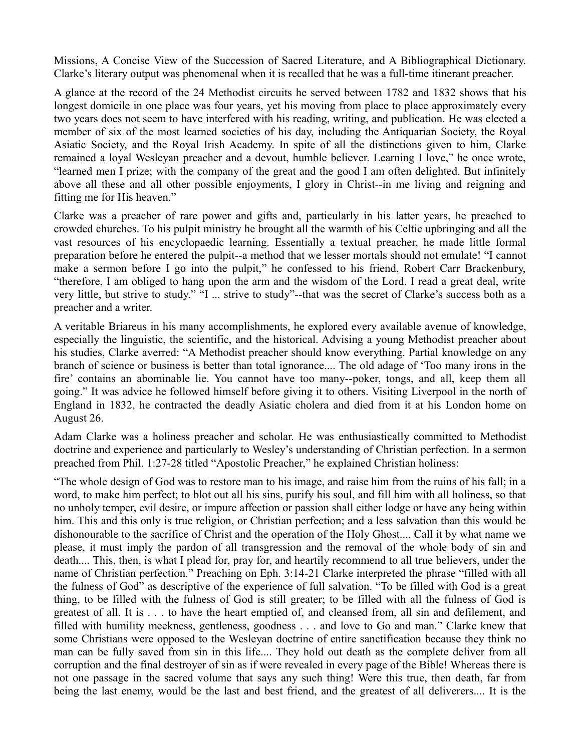Missions, A Concise View of the Succession of Sacred Literature, and A Bibliographical Dictionary. Clarke's literary output was phenomenal when it is recalled that he was a full-time itinerant preacher.

A glance at the record of the 24 Methodist circuits he served between 1782 and 1832 shows that his longest domicile in one place was four years, yet his moving from place to place approximately every two years does not seem to have interfered with his reading, writing, and publication. He was elected a member of six of the most learned societies of his day, including the Antiquarian Society, the Royal Asiatic Society, and the Royal Irish Academy. In spite of all the distinctions given to him, Clarke remained a loyal Wesleyan preacher and a devout, humble believer. Learning I love," he once wrote, "learned men I prize; with the company of the great and the good I am often delighted. But infinitely above all these and all other possible enjoyments, I glory in Christ--in me living and reigning and fitting me for His heaven."

Clarke was a preacher of rare power and gifts and, particularly in his latter years, he preached to crowded churches. To his pulpit ministry he brought all the warmth of his Celtic upbringing and all the vast resources of his encyclopaedic learning. Essentially a textual preacher, he made little formal preparation before he entered the pulpit--a method that we lesser mortals should not emulate! "I cannot make a sermon before I go into the pulpit," he confessed to his friend, Robert Carr Brackenbury, "therefore, I am obliged to hang upon the arm and the wisdom of the Lord. I read a great deal, write very little, but strive to study." "I ... strive to study"--that was the secret of Clarke's success both as a preacher and a writer.

A veritable Briareus in his many accomplishments, he explored every available avenue of knowledge, especially the linguistic, the scientific, and the historical. Advising a young Methodist preacher about his studies, Clarke averred: "A Methodist preacher should know everything. Partial knowledge on any branch of science or business is better than total ignorance.... The old adage of 'Too many irons in the fire' contains an abominable lie. You cannot have too many--poker, tongs, and all, keep them all going." It was advice he followed himself before giving it to others. Visiting Liverpool in the north of England in 1832, he contracted the deadly Asiatic cholera and died from it at his London home on August 26.

Adam Clarke was a holiness preacher and scholar. He was enthusiastically committed to Methodist doctrine and experience and particularly to Wesley's understanding of Christian perfection. In a sermon preached from Phil. 1:27-28 titled "Apostolic Preacher," he explained Christian holiness:

"The whole design of God was to restore man to his image, and raise him from the ruins of his fall; in a word, to make him perfect; to blot out all his sins, purify his soul, and fill him with all holiness, so that no unholy temper, evil desire, or impure affection or passion shall either lodge or have any being within him. This and this only is true religion, or Christian perfection; and a less salvation than this would be dishonourable to the sacrifice of Christ and the operation of the Holy Ghost.... Call it by what name we please, it must imply the pardon of all transgression and the removal of the whole body of sin and death.... This, then, is what I plead for, pray for, and heartily recommend to all true believers, under the name of Christian perfection." Preaching on Eph. 3:14-21 Clarke interpreted the phrase "filled with all the fulness of God" as descriptive of the experience of full salvation. "To be filled with God is a great thing, to be filled with the fulness of God is still greater; to be filled with all the fulness of God is greatest of all. It is . . . to have the heart emptied of, and cleansed from, all sin and defilement, and filled with humility meekness, gentleness, goodness . . . and love to Go and man." Clarke knew that some Christians were opposed to the Wesleyan doctrine of entire sanctification because they think no man can be fully saved from sin in this life.... They hold out death as the complete deliver from all corruption and the final destroyer of sin as if were revealed in every page of the Bible! Whereas there is not one passage in the sacred volume that says any such thing! Were this true, then death, far from being the last enemy, would be the last and best friend, and the greatest of all deliverers.... It is the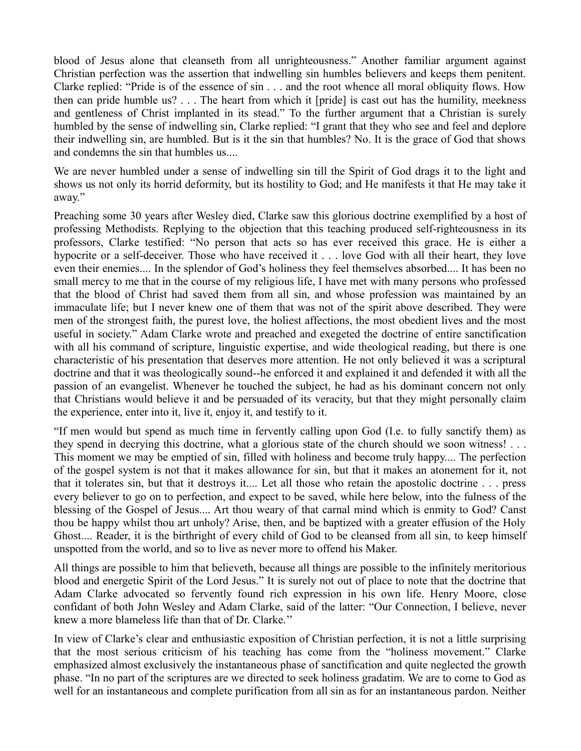blood of Jesus alone that cleanseth from all unrighteousness." Another familiar argument against Christian perfection was the assertion that indwelling sin humbles believers and keeps them penitent. Clarke replied: "Pride is of the essence of sin . . . and the root whence all moral obliquity flows. How then can pride humble us? . . . The heart from which it [pride] is cast out has the humility, meekness and gentleness of Christ implanted in its stead." To the further argument that a Christian is surely humbled by the sense of indwelling sin, Clarke replied: "I grant that they who see and feel and deplore their indwelling sin, are humbled. But is it the sin that humbles? No. It is the grace of God that shows and condemns the sin that humbles us....

We are never humbled under a sense of indwelling sin till the Spirit of God drags it to the light and shows us not only its horrid deformity, but its hostility to God; and He manifests it that He may take it away."

Preaching some 30 years after Wesley died, Clarke saw this glorious doctrine exemplified by a host of professing Methodists. Replying to the objection that this teaching produced self-righteousness in its professors, Clarke testified: "No person that acts so has ever received this grace. He is either a hypocrite or a self-deceiver. Those who have received it . . . love God with all their heart, they love even their enemies.... In the splendor of God's holiness they feel themselves absorbed.... It has been no small mercy to me that in the course of my religious life, I have met with many persons who professed that the blood of Christ had saved them from all sin, and whose profession was maintained by an immaculate life; but I never knew one of them that was not of the spirit above described. They were men of the strongest faith, the purest love, the holiest affections, the most obedient lives and the most useful in society." Adam Clarke wrote and preached and exegeted the doctrine of entire sanctification with all his command of scripture, linguistic expertise, and wide theological reading, but there is one characteristic of his presentation that deserves more attention. He not only believed it was a scriptural doctrine and that it was theologically sound--he enforced it and explained it and defended it with all the passion of an evangelist. Whenever he touched the subject, he had as his dominant concern not only that Christians would believe it and be persuaded of its veracity, but that they might personally claim the experience, enter into it, live it, enjoy it, and testify to it.

"If men would but spend as much time in fervently calling upon God (I.e. to fully sanctify them) as they spend in decrying this doctrine, what a glorious state of the church should we soon witness! . . . This moment we may be emptied of sin, filled with holiness and become truly happy.... The perfection of the gospel system is not that it makes allowance for sin, but that it makes an atonement for it, not that it tolerates sin, but that it destroys it.... Let all those who retain the apostolic doctrine . . . press every believer to go on to perfection, and expect to be saved, while here below, into the fulness of the blessing of the Gospel of Jesus.... Art thou weary of that carnal mind which is enmity to God? Canst thou be happy whilst thou art unholy? Arise, then, and be baptized with a greater effusion of the Holy Ghost.... Reader, it is the birthright of every child of God to be cleansed from all sin, to keep himself unspotted from the world, and so to live as never more to offend his Maker.

All things are possible to him that believeth, because all things are possible to the infinitely meritorious blood and energetic Spirit of the Lord Jesus." It is surely not out of place to note that the doctrine that Adam Clarke advocated so fervently found rich expression in his own life. Henry Moore, close confidant of both John Wesley and Adam Clarke, said of the latter: "Our Connection, I believe, never knew a more blameless life than that of Dr. Clarke.''

In view of Clarke's clear and enthusiastic exposition of Christian perfection, it is not a little surprising that the most serious criticism of his teaching has come from the "holiness movement." Clarke emphasized almost exclusively the instantaneous phase of sanctification and quite neglected the growth phase. "In no part of the scriptures are we directed to seek holiness gradatim. We are to come to God as well for an instantaneous and complete purification from all sin as for an instantaneous pardon. Neither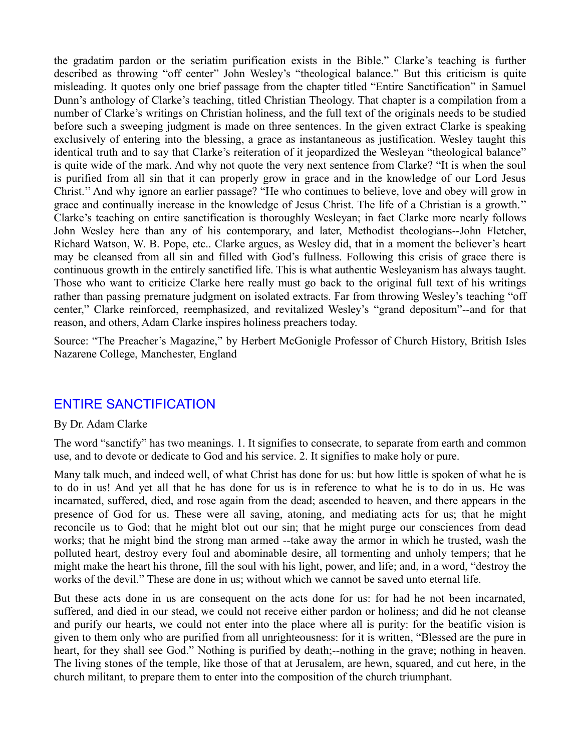the gradatim pardon or the seriatim purification exists in the Bible." Clarke's teaching is further described as throwing "off center" John Wesley's "theological balance." But this criticism is quite misleading. It quotes only one brief passage from the chapter titled "Entire Sanctification" in Samuel Dunn's anthology of Clarke's teaching, titled Christian Theology. That chapter is a compilation from a number of Clarke's writings on Christian holiness, and the full text of the originals needs to be studied before such a sweeping judgment is made on three sentences. In the given extract Clarke is speaking exclusively of entering into the blessing, a grace as instantaneous as justification. Wesley taught this identical truth and to say that Clarke's reiteration of it jeopardized the Wesleyan "theological balance" is quite wide of the mark. And why not quote the very next sentence from Clarke? "It is when the soul is purified from all sin that it can properly grow in grace and in the knowledge of our Lord Jesus Christ.'' And why ignore an earlier passage? "He who continues to believe, love and obey will grow in grace and continually increase in the knowledge of Jesus Christ. The life of a Christian is a growth.'' Clarke's teaching on entire sanctification is thoroughly Wesleyan; in fact Clarke more nearly follows John Wesley here than any of his contemporary, and later, Methodist theologians--John Fletcher, Richard Watson, W. B. Pope, etc.. Clarke argues, as Wesley did, that in a moment the believer's heart may be cleansed from all sin and filled with God's fullness. Following this crisis of grace there is continuous growth in the entirely sanctified life. This is what authentic Wesleyanism has always taught. Those who want to criticize Clarke here really must go back to the original full text of his writings rather than passing premature judgment on isolated extracts. Far from throwing Wesley's teaching "off center," Clarke reinforced, reemphasized, and revitalized Wesley's "grand depositum"--and for that reason, and others, Adam Clarke inspires holiness preachers today.

Source: "The Preacher's Magazine," by Herbert McGonigle Professor of Church History, British Isles Nazarene College, Manchester, England

## ENTIRE SANCTIFICATION

#### By Dr. Adam Clarke

The word "sanctify" has two meanings. 1. It signifies to consecrate, to separate from earth and common use, and to devote or dedicate to God and his service. 2. It signifies to make holy or pure.

Many talk much, and indeed well, of what Christ has done for us: but how little is spoken of what he is to do in us! And yet all that he has done for us is in reference to what he is to do in us. He was incarnated, suffered, died, and rose again from the dead; ascended to heaven, and there appears in the presence of God for us. These were all saving, atoning, and mediating acts for us; that he might reconcile us to God; that he might blot out our sin; that he might purge our consciences from dead works; that he might bind the strong man armed --take away the armor in which he trusted, wash the polluted heart, destroy every foul and abominable desire, all tormenting and unholy tempers; that he might make the heart his throne, fill the soul with his light, power, and life; and, in a word, "destroy the works of the devil." These are done in us; without which we cannot be saved unto eternal life.

But these acts done in us are consequent on the acts done for us: for had he not been incarnated, suffered, and died in our stead, we could not receive either pardon or holiness; and did he not cleanse and purify our hearts, we could not enter into the place where all is purity: for the beatific vision is given to them only who are purified from all unrighteousness: for it is written, "Blessed are the pure in heart, for they shall see God." Nothing is purified by death;--nothing in the grave; nothing in heaven. The living stones of the temple, like those of that at Jerusalem, are hewn, squared, and cut here, in the church militant, to prepare them to enter into the composition of the church triumphant.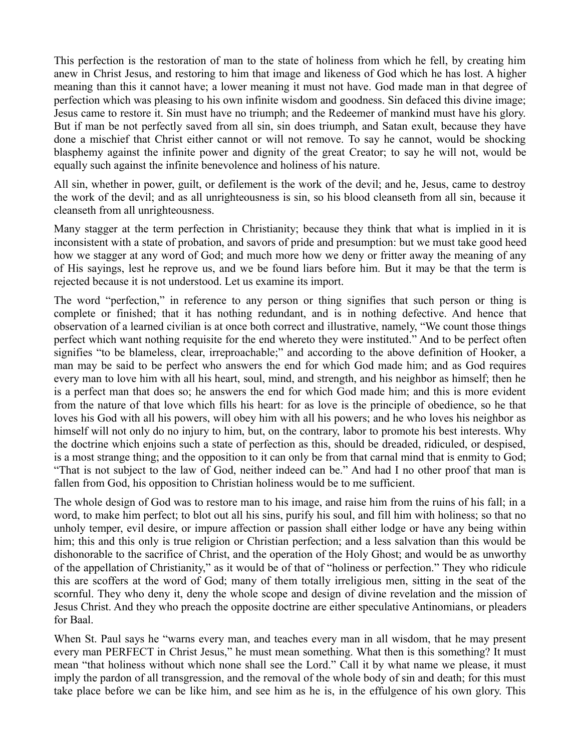This perfection is the restoration of man to the state of holiness from which he fell, by creating him anew in Christ Jesus, and restoring to him that image and likeness of God which he has lost. A higher meaning than this it cannot have; a lower meaning it must not have. God made man in that degree of perfection which was pleasing to his own infinite wisdom and goodness. Sin defaced this divine image; Jesus came to restore it. Sin must have no triumph; and the Redeemer of mankind must have his glory. But if man be not perfectly saved from all sin, sin does triumph, and Satan exult, because they have done a mischief that Christ either cannot or will not remove. To say he cannot, would be shocking blasphemy against the infinite power and dignity of the great Creator; to say he will not, would be equally such against the infinite benevolence and holiness of his nature.

All sin, whether in power, guilt, or defilement is the work of the devil; and he, Jesus, came to destroy the work of the devil; and as all unrighteousness is sin, so his blood cleanseth from all sin, because it cleanseth from all unrighteousness.

Many stagger at the term perfection in Christianity; because they think that what is implied in it is inconsistent with a state of probation, and savors of pride and presumption: but we must take good heed how we stagger at any word of God; and much more how we deny or fritter away the meaning of any of His sayings, lest he reprove us, and we be found liars before him. But it may be that the term is rejected because it is not understood. Let us examine its import.

The word "perfection," in reference to any person or thing signifies that such person or thing is complete or finished; that it has nothing redundant, and is in nothing defective. And hence that observation of a learned civilian is at once both correct and illustrative, namely, "We count those things perfect which want nothing requisite for the end whereto they were instituted." And to be perfect often signifies "to be blameless, clear, irreproachable;" and according to the above definition of Hooker, a man may be said to be perfect who answers the end for which God made him; and as God requires every man to love him with all his heart, soul, mind, and strength, and his neighbor as himself; then he is a perfect man that does so; he answers the end for which God made him; and this is more evident from the nature of that love which fills his heart: for as love is the principle of obedience, so he that loves his God with all his powers, will obey him with all his powers; and he who loves his neighbor as himself will not only do no injury to him, but, on the contrary, labor to promote his best interests. Why the doctrine which enjoins such a state of perfection as this, should be dreaded, ridiculed, or despised, is a most strange thing; and the opposition to it can only be from that carnal mind that is enmity to God; "That is not subject to the law of God, neither indeed can be." And had I no other proof that man is fallen from God, his opposition to Christian holiness would be to me sufficient.

The whole design of God was to restore man to his image, and raise him from the ruins of his fall; in a word, to make him perfect; to blot out all his sins, purify his soul, and fill him with holiness; so that no unholy temper, evil desire, or impure affection or passion shall either lodge or have any being within him; this and this only is true religion or Christian perfection; and a less salvation than this would be dishonorable to the sacrifice of Christ, and the operation of the Holy Ghost; and would be as unworthy of the appellation of Christianity," as it would be of that of "holiness or perfection." They who ridicule this are scoffers at the word of God; many of them totally irreligious men, sitting in the seat of the scornful. They who deny it, deny the whole scope and design of divine revelation and the mission of Jesus Christ. And they who preach the opposite doctrine are either speculative Antinomians, or pleaders for Baal.

When St. Paul says he "warns every man, and teaches every man in all wisdom, that he may present every man PERFECT in Christ Jesus," he must mean something. What then is this something? It must mean "that holiness without which none shall see the Lord." Call it by what name we please, it must imply the pardon of all transgression, and the removal of the whole body of sin and death; for this must take place before we can be like him, and see him as he is, in the effulgence of his own glory. This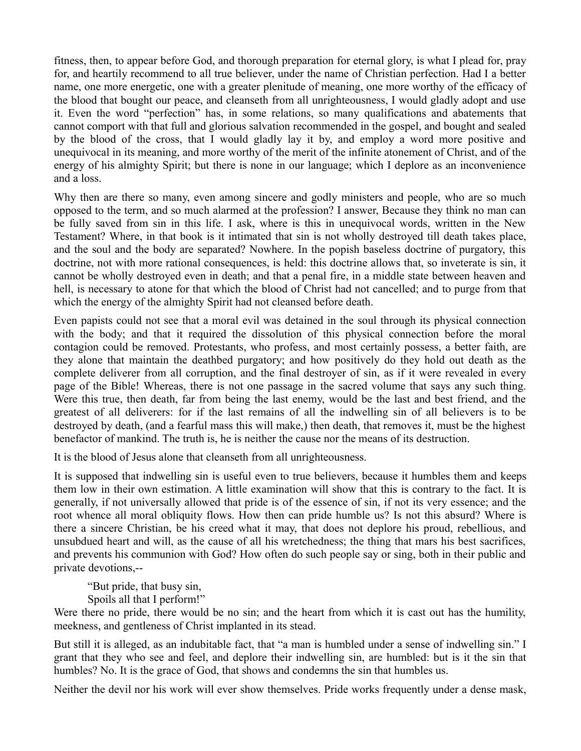fitness, then, to appear before God, and thorough preparation for eternal glory, is what I plead for, pray for, and heartily recommend to all true believer, under the name of Christian perfection. Had I a better name, one more energetic, one with a greater plenitude of meaning, one more worthy of the efficacy of the blood that bought our peace, and cleanseth from all unrighteousness, I would gladly adopt and use it. Even the word "perfection" has, in some relations, so many qualifications and abatements that cannot comport with that full and glorious salvation recommended in the gospel, and bought and sealed by the blood of the cross, that I would gladly lay it by, and employ a word more positive and unequivocal in its meaning, and more worthy of the merit of the infinite atonement of Christ, and of the energy of his almighty Spirit; but there is none in our language; which I deplore as an inconvenience and a loss.

Why then are there so many, even among sincere and godly ministers and people, who are so much opposed to the term, and so much alarmed at the profession? I answer, Because they think no man can be fully saved from sin in this life. I ask, where is this in unequivocal words, written in the New Testament? Where, in that book is it intimated that sin is not wholly destroyed till death takes place, and the soul and the body are separated? Nowhere. In the popish baseless doctrine of purgatory, this doctrine, not with more rational consequences, is held: this doctrine allows that, so inveterate is sin, it cannot be wholly destroyed even in death; and that a penal fire, in a middle state between heaven and hell, is necessary to atone for that which the blood of Christ had not cancelled; and to purge from that which the energy of the almighty Spirit had not cleansed before death.

Even papists could not see that a moral evil was detained in the soul through its physical connection with the body; and that it required the dissolution of this physical connection before the moral contagion could be removed. Protestants, who profess, and most certainly possess, a better faith, are they alone that maintain the deathbed purgatory; and how positively do they hold out death as the complete deliverer from all corruption, and the final destroyer of sin, as if it were revealed in every page of the Bible! Whereas, there is not one passage in the sacred volume that says any such thing. Were this true, then death, far from being the last enemy, would be the last and best friend, and the greatest of all deliverers: for if the last remains of all the indwelling sin of all believers is to be destroyed by death, (and a fearful mass this will make,) then death, that removes it, must be the highest benefactor of mankind. The truth is, he is neither the cause nor the means of its destruction.

It is the blood of Jesus alone that cleanseth from all unrighteousness.

It is supposed that indwelling sin is useful even to true believers, because it humbles them and keeps them low in their own estimation. A little examination will show that this is contrary to the fact. It is generally, if not universally allowed that pride is of the essence of sin, if not its very essence; and the root whence all moral obliquity flows. How then can pride humble us? Is not this absurd? Where is there a sincere Christian, be his creed what it may, that does not deplore his proud, rebellious, and unsubdued heart and will, as the cause of all his wretchedness; the thing that mars his best sacrifices, and prevents his communion with God? How often do such people say or sing, both in their public and private devotions,--

"But pride, that busy sin,

Spoils all that I perform!"

Were there no pride, there would be no sin; and the heart from which it is cast out has the humility, meekness, and gentleness of Christ implanted in its stead.

But still it is alleged, as an indubitable fact, that "a man is humbled under a sense of indwelling sin." I grant that they who see and feel, and deplore their indwelling sin, are humbled: but is it the sin that humbles? No. It is the grace of God, that shows and condemns the sin that humbles us.

Neither the devil nor his work will ever show themselves. Pride works frequently under a dense mask,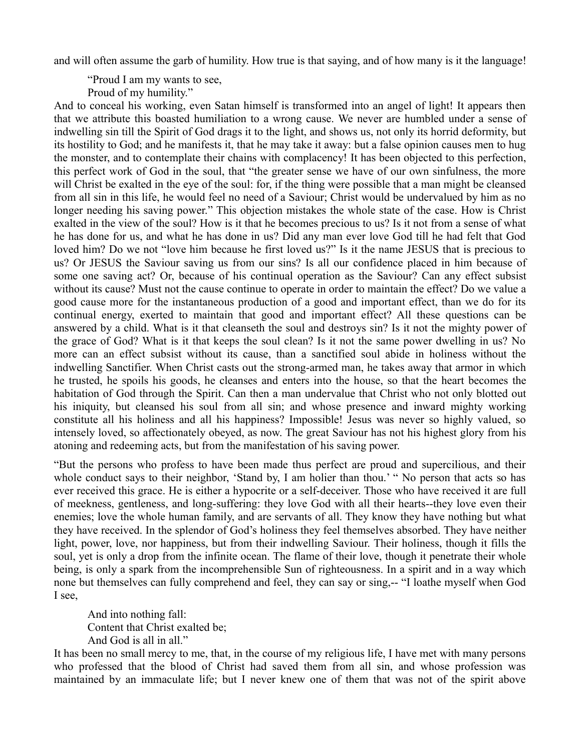and will often assume the garb of humility. How true is that saying, and of how many is it the language!

"Proud I am my wants to see,

Proud of my humility."

And to conceal his working, even Satan himself is transformed into an angel of light! It appears then that we attribute this boasted humiliation to a wrong cause. We never are humbled under a sense of indwelling sin till the Spirit of God drags it to the light, and shows us, not only its horrid deformity, but its hostility to God; and he manifests it, that he may take it away: but a false opinion causes men to hug the monster, and to contemplate their chains with complacency! It has been objected to this perfection, this perfect work of God in the soul, that "the greater sense we have of our own sinfulness, the more will Christ be exalted in the eye of the soul: for, if the thing were possible that a man might be cleansed from all sin in this life, he would feel no need of a Saviour; Christ would be undervalued by him as no longer needing his saving power." This objection mistakes the whole state of the case. How is Christ exalted in the view of the soul? How is it that he becomes precious to us? Is it not from a sense of what he has done for us, and what he has done in us? Did any man ever love God till he had felt that God loved him? Do we not "love him because he first loved us?" Is it the name JESUS that is precious to us? Or JESUS the Saviour saving us from our sins? Is all our confidence placed in him because of some one saving act? Or, because of his continual operation as the Saviour? Can any effect subsist without its cause? Must not the cause continue to operate in order to maintain the effect? Do we value a good cause more for the instantaneous production of a good and important effect, than we do for its continual energy, exerted to maintain that good and important effect? All these questions can be answered by a child. What is it that cleanseth the soul and destroys sin? Is it not the mighty power of the grace of God? What is it that keeps the soul clean? Is it not the same power dwelling in us? No more can an effect subsist without its cause, than a sanctified soul abide in holiness without the indwelling Sanctifier. When Christ casts out the strong-armed man, he takes away that armor in which he trusted, he spoils his goods, he cleanses and enters into the house, so that the heart becomes the habitation of God through the Spirit. Can then a man undervalue that Christ who not only blotted out his iniquity, but cleansed his soul from all sin; and whose presence and inward mighty working constitute all his holiness and all his happiness? Impossible! Jesus was never so highly valued, so intensely loved, so affectionately obeyed, as now. The great Saviour has not his highest glory from his atoning and redeeming acts, but from the manifestation of his saving power.

"But the persons who profess to have been made thus perfect are proud and supercilious, and their whole conduct says to their neighbor, 'Stand by, I am holier than thou.' " No person that acts so has ever received this grace. He is either a hypocrite or a self-deceiver. Those who have received it are full of meekness, gentleness, and long-suffering: they love God with all their hearts--they love even their enemies; love the whole human family, and are servants of all. They know they have nothing but what they have received. In the splendor of God's holiness they feel themselves absorbed. They have neither light, power, love, nor happiness, but from their indwelling Saviour. Their holiness, though it fills the soul, yet is only a drop from the infinite ocean. The flame of their love, though it penetrate their whole being, is only a spark from the incomprehensible Sun of righteousness. In a spirit and in a way which none but themselves can fully comprehend and feel, they can say or sing,-- "I loathe myself when God I see,

And into nothing fall: Content that Christ exalted be; And God is all in all."

It has been no small mercy to me, that, in the course of my religious life, I have met with many persons who professed that the blood of Christ had saved them from all sin, and whose profession was maintained by an immaculate life; but I never knew one of them that was not of the spirit above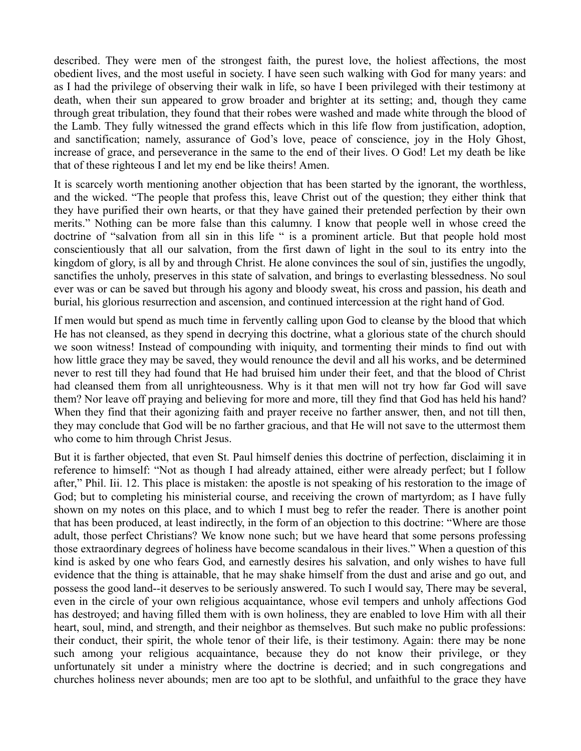described. They were men of the strongest faith, the purest love, the holiest affections, the most obedient lives, and the most useful in society. I have seen such walking with God for many years: and as I had the privilege of observing their walk in life, so have I been privileged with their testimony at death, when their sun appeared to grow broader and brighter at its setting; and, though they came through great tribulation, they found that their robes were washed and made white through the blood of the Lamb. They fully witnessed the grand effects which in this life flow from justification, adoption, and sanctification; namely, assurance of God's love, peace of conscience, joy in the Holy Ghost, increase of grace, and perseverance in the same to the end of their lives. O God! Let my death be like that of these righteous I and let my end be like theirs! Amen.

It is scarcely worth mentioning another objection that has been started by the ignorant, the worthless, and the wicked. "The people that profess this, leave Christ out of the question; they either think that they have purified their own hearts, or that they have gained their pretended perfection by their own merits." Nothing can be more false than this calumny. I know that people well in whose creed the doctrine of "salvation from all sin in this life " is a prominent article. But that people hold most conscientiously that all our salvation, from the first dawn of light in the soul to its entry into the kingdom of glory, is all by and through Christ. He alone convinces the soul of sin, justifies the ungodly, sanctifies the unholy, preserves in this state of salvation, and brings to everlasting blessedness. No soul ever was or can be saved but through his agony and bloody sweat, his cross and passion, his death and burial, his glorious resurrection and ascension, and continued intercession at the right hand of God.

If men would but spend as much time in fervently calling upon God to cleanse by the blood that which He has not cleansed, as they spend in decrying this doctrine, what a glorious state of the church should we soon witness! Instead of compounding with iniquity, and tormenting their minds to find out with how little grace they may be saved, they would renounce the devil and all his works, and be determined never to rest till they had found that He had bruised him under their feet, and that the blood of Christ had cleansed them from all unrighteousness. Why is it that men will not try how far God will save them? Nor leave off praying and believing for more and more, till they find that God has held his hand? When they find that their agonizing faith and prayer receive no farther answer, then, and not till then, they may conclude that God will be no farther gracious, and that He will not save to the uttermost them who come to him through Christ Jesus.

But it is farther objected, that even St. Paul himself denies this doctrine of perfection, disclaiming it in reference to himself: "Not as though I had already attained, either were already perfect; but I follow after," Phil. Iii. 12. This place is mistaken: the apostle is not speaking of his restoration to the image of God; but to completing his ministerial course, and receiving the crown of martyrdom; as I have fully shown on my notes on this place, and to which I must beg to refer the reader. There is another point that has been produced, at least indirectly, in the form of an objection to this doctrine: "Where are those adult, those perfect Christians? We know none such; but we have heard that some persons professing those extraordinary degrees of holiness have become scandalous in their lives." When a question of this kind is asked by one who fears God, and earnestly desires his salvation, and only wishes to have full evidence that the thing is attainable, that he may shake himself from the dust and arise and go out, and possess the good land--it deserves to be seriously answered. To such I would say, There may be several, even in the circle of your own religious acquaintance, whose evil tempers and unholy affections God has destroyed; and having filled them with is own holiness, they are enabled to love Him with all their heart, soul, mind, and strength, and their neighbor as themselves. But such make no public professions: their conduct, their spirit, the whole tenor of their life, is their testimony. Again: there may be none such among your religious acquaintance, because they do not know their privilege, or they unfortunately sit under a ministry where the doctrine is decried; and in such congregations and churches holiness never abounds; men are too apt to be slothful, and unfaithful to the grace they have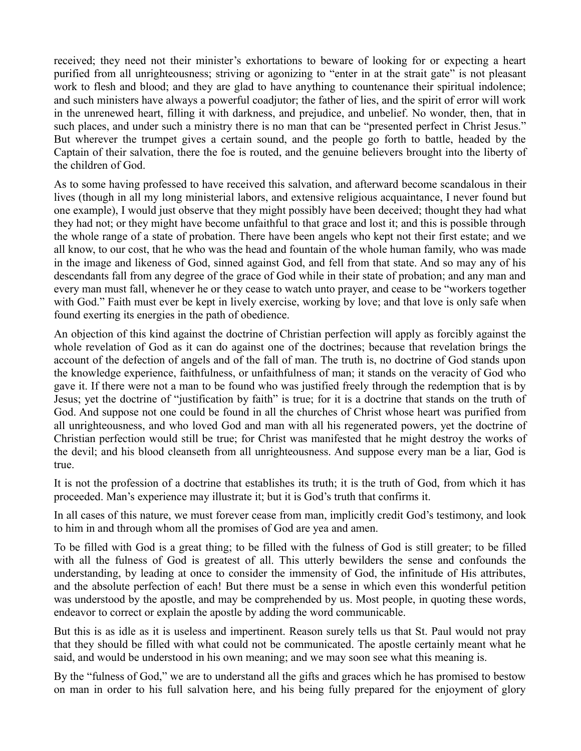received; they need not their minister's exhortations to beware of looking for or expecting a heart purified from all unrighteousness; striving or agonizing to "enter in at the strait gate" is not pleasant work to flesh and blood; and they are glad to have anything to countenance their spiritual indolence; and such ministers have always a powerful coadjutor; the father of lies, and the spirit of error will work in the unrenewed heart, filling it with darkness, and prejudice, and unbelief. No wonder, then, that in such places, and under such a ministry there is no man that can be "presented perfect in Christ Jesus." But wherever the trumpet gives a certain sound, and the people go forth to battle, headed by the Captain of their salvation, there the foe is routed, and the genuine believers brought into the liberty of the children of God.

As to some having professed to have received this salvation, and afterward become scandalous in their lives (though in all my long ministerial labors, and extensive religious acquaintance, I never found but one example), I would just observe that they might possibly have been deceived; thought they had what they had not; or they might have become unfaithful to that grace and lost it; and this is possible through the whole range of a state of probation. There have been angels who kept not their first estate; and we all know, to our cost, that he who was the head and fountain of the whole human family, who was made in the image and likeness of God, sinned against God, and fell from that state. And so may any of his descendants fall from any degree of the grace of God while in their state of probation; and any man and every man must fall, whenever he or they cease to watch unto prayer, and cease to be "workers together with God." Faith must ever be kept in lively exercise, working by love; and that love is only safe when found exerting its energies in the path of obedience.

An objection of this kind against the doctrine of Christian perfection will apply as forcibly against the whole revelation of God as it can do against one of the doctrines; because that revelation brings the account of the defection of angels and of the fall of man. The truth is, no doctrine of God stands upon the knowledge experience, faithfulness, or unfaithfulness of man; it stands on the veracity of God who gave it. If there were not a man to be found who was justified freely through the redemption that is by Jesus; yet the doctrine of "justification by faith" is true; for it is a doctrine that stands on the truth of God. And suppose not one could be found in all the churches of Christ whose heart was purified from all unrighteousness, and who loved God and man with all his regenerated powers, yet the doctrine of Christian perfection would still be true; for Christ was manifested that he might destroy the works of the devil; and his blood cleanseth from all unrighteousness. And suppose every man be a liar, God is true.

It is not the profession of a doctrine that establishes its truth; it is the truth of God, from which it has proceeded. Man's experience may illustrate it; but it is God's truth that confirms it.

In all cases of this nature, we must forever cease from man, implicitly credit God's testimony, and look to him in and through whom all the promises of God are yea and amen.

To be filled with God is a great thing; to be filled with the fulness of God is still greater; to be filled with all the fulness of God is greatest of all. This utterly bewilders the sense and confounds the understanding, by leading at once to consider the immensity of God, the infinitude of His attributes, and the absolute perfection of each! But there must be a sense in which even this wonderful petition was understood by the apostle, and may be comprehended by us. Most people, in quoting these words, endeavor to correct or explain the apostle by adding the word communicable.

But this is as idle as it is useless and impertinent. Reason surely tells us that St. Paul would not pray that they should be filled with what could not be communicated. The apostle certainly meant what he said, and would be understood in his own meaning; and we may soon see what this meaning is.

By the "fulness of God," we are to understand all the gifts and graces which he has promised to bestow on man in order to his full salvation here, and his being fully prepared for the enjoyment of glory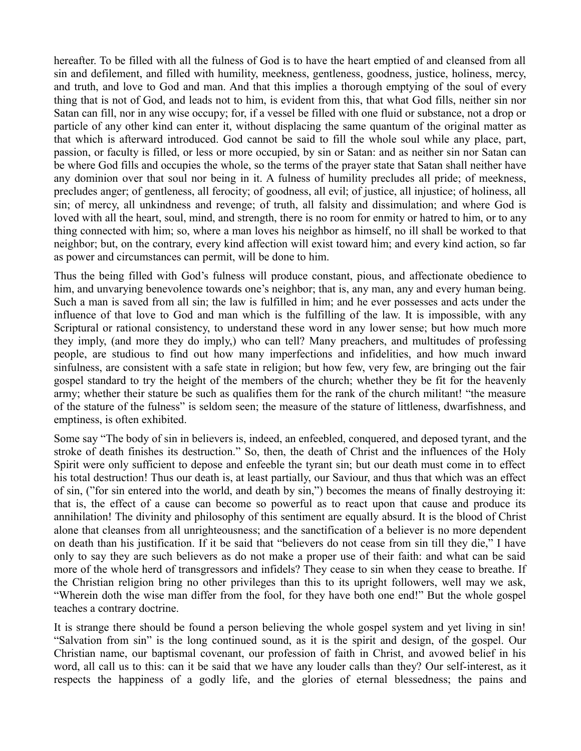hereafter. To be filled with all the fulness of God is to have the heart emptied of and cleansed from all sin and defilement, and filled with humility, meekness, gentleness, goodness, justice, holiness, mercy, and truth, and love to God and man. And that this implies a thorough emptying of the soul of every thing that is not of God, and leads not to him, is evident from this, that what God fills, neither sin nor Satan can fill, nor in any wise occupy; for, if a vessel be filled with one fluid or substance, not a drop or particle of any other kind can enter it, without displacing the same quantum of the original matter as that which is afterward introduced. God cannot be said to fill the whole soul while any place, part, passion, or faculty is filled, or less or more occupied, by sin or Satan: and as neither sin nor Satan can be where God fills and occupies the whole, so the terms of the prayer state that Satan shall neither have any dominion over that soul nor being in it. A fulness of humility precludes all pride; of meekness, precludes anger; of gentleness, all ferocity; of goodness, all evil; of justice, all injustice; of holiness, all sin; of mercy, all unkindness and revenge; of truth, all falsity and dissimulation; and where God is loved with all the heart, soul, mind, and strength, there is no room for enmity or hatred to him, or to any thing connected with him; so, where a man loves his neighbor as himself, no ill shall be worked to that neighbor; but, on the contrary, every kind affection will exist toward him; and every kind action, so far as power and circumstances can permit, will be done to him.

Thus the being filled with God's fulness will produce constant, pious, and affectionate obedience to him, and unvarying benevolence towards one's neighbor; that is, any man, any and every human being. Such a man is saved from all sin; the law is fulfilled in him; and he ever possesses and acts under the influence of that love to God and man which is the fulfilling of the law. It is impossible, with any Scriptural or rational consistency, to understand these word in any lower sense; but how much more they imply, (and more they do imply,) who can tell? Many preachers, and multitudes of professing people, are studious to find out how many imperfections and infidelities, and how much inward sinfulness, are consistent with a safe state in religion; but how few, very few, are bringing out the fair gospel standard to try the height of the members of the church; whether they be fit for the heavenly army; whether their stature be such as qualifies them for the rank of the church militant! "the measure of the stature of the fulness" is seldom seen; the measure of the stature of littleness, dwarfishness, and emptiness, is often exhibited.

Some say "The body of sin in believers is, indeed, an enfeebled, conquered, and deposed tyrant, and the stroke of death finishes its destruction." So, then, the death of Christ and the influences of the Holy Spirit were only sufficient to depose and enfeeble the tyrant sin; but our death must come in to effect his total destruction! Thus our death is, at least partially, our Saviour, and thus that which was an effect of sin, ("for sin entered into the world, and death by sin,") becomes the means of finally destroying it: that is, the effect of a cause can become so powerful as to react upon that cause and produce its annihilation! The divinity and philosophy of this sentiment are equally absurd. It is the blood of Christ alone that cleanses from all unrighteousness; and the sanctification of a believer is no more dependent on death than his justification. If it be said that "believers do not cease from sin till they die," I have only to say they are such believers as do not make a proper use of their faith: and what can be said more of the whole herd of transgressors and infidels? They cease to sin when they cease to breathe. If the Christian religion bring no other privileges than this to its upright followers, well may we ask, "Wherein doth the wise man differ from the fool, for they have both one end!" But the whole gospel teaches a contrary doctrine.

It is strange there should be found a person believing the whole gospel system and yet living in sin! "Salvation from sin" is the long continued sound, as it is the spirit and design, of the gospel. Our Christian name, our baptismal covenant, our profession of faith in Christ, and avowed belief in his word, all call us to this: can it be said that we have any louder calls than they? Our self-interest, as it respects the happiness of a godly life, and the glories of eternal blessedness; the pains and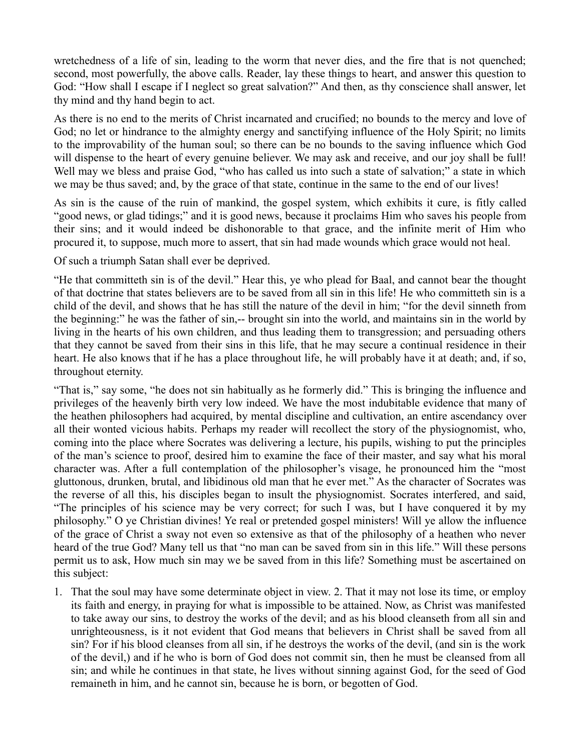wretchedness of a life of sin, leading to the worm that never dies, and the fire that is not quenched; second, most powerfully, the above calls. Reader, lay these things to heart, and answer this question to God: "How shall I escape if I neglect so great salvation?" And then, as thy conscience shall answer, let thy mind and thy hand begin to act.

As there is no end to the merits of Christ incarnated and crucified; no bounds to the mercy and love of God; no let or hindrance to the almighty energy and sanctifying influence of the Holy Spirit; no limits to the improvability of the human soul; so there can be no bounds to the saving influence which God will dispense to the heart of every genuine believer. We may ask and receive, and our joy shall be full! Well may we bless and praise God, "who has called us into such a state of salvation;" a state in which we may be thus saved; and, by the grace of that state, continue in the same to the end of our lives!

As sin is the cause of the ruin of mankind, the gospel system, which exhibits it cure, is fitly called "good news, or glad tidings;" and it is good news, because it proclaims Him who saves his people from their sins; and it would indeed be dishonorable to that grace, and the infinite merit of Him who procured it, to suppose, much more to assert, that sin had made wounds which grace would not heal.

Of such a triumph Satan shall ever be deprived.

"He that committeth sin is of the devil." Hear this, ye who plead for Baal, and cannot bear the thought of that doctrine that states believers are to be saved from all sin in this life! He who committeth sin is a child of the devil, and shows that he has still the nature of the devil in him; "for the devil sinneth from the beginning:" he was the father of sin,-- brought sin into the world, and maintains sin in the world by living in the hearts of his own children, and thus leading them to transgression; and persuading others that they cannot be saved from their sins in this life, that he may secure a continual residence in their heart. He also knows that if he has a place throughout life, he will probably have it at death; and, if so, throughout eternity.

"That is," say some, "he does not sin habitually as he formerly did." This is bringing the influence and privileges of the heavenly birth very low indeed. We have the most indubitable evidence that many of the heathen philosophers had acquired, by mental discipline and cultivation, an entire ascendancy over all their wonted vicious habits. Perhaps my reader will recollect the story of the physiognomist, who, coming into the place where Socrates was delivering a lecture, his pupils, wishing to put the principles of the man's science to proof, desired him to examine the face of their master, and say what his moral character was. After a full contemplation of the philosopher's visage, he pronounced him the "most gluttonous, drunken, brutal, and libidinous old man that he ever met." As the character of Socrates was the reverse of all this, his disciples began to insult the physiognomist. Socrates interfered, and said, "The principles of his science may be very correct; for such I was, but I have conquered it by my philosophy." O ye Christian divines! Ye real or pretended gospel ministers! Will ye allow the influence of the grace of Christ a sway not even so extensive as that of the philosophy of a heathen who never heard of the true God? Many tell us that "no man can be saved from sin in this life." Will these persons permit us to ask, How much sin may we be saved from in this life? Something must be ascertained on this subject:

1. That the soul may have some determinate object in view. 2. That it may not lose its time, or employ its faith and energy, in praying for what is impossible to be attained. Now, as Christ was manifested to take away our sins, to destroy the works of the devil; and as his blood cleanseth from all sin and unrighteousness, is it not evident that God means that believers in Christ shall be saved from all sin? For if his blood cleanses from all sin, if he destroys the works of the devil, (and sin is the work of the devil,) and if he who is born of God does not commit sin, then he must be cleansed from all sin; and while he continues in that state, he lives without sinning against God, for the seed of God remaineth in him, and he cannot sin, because he is born, or begotten of God.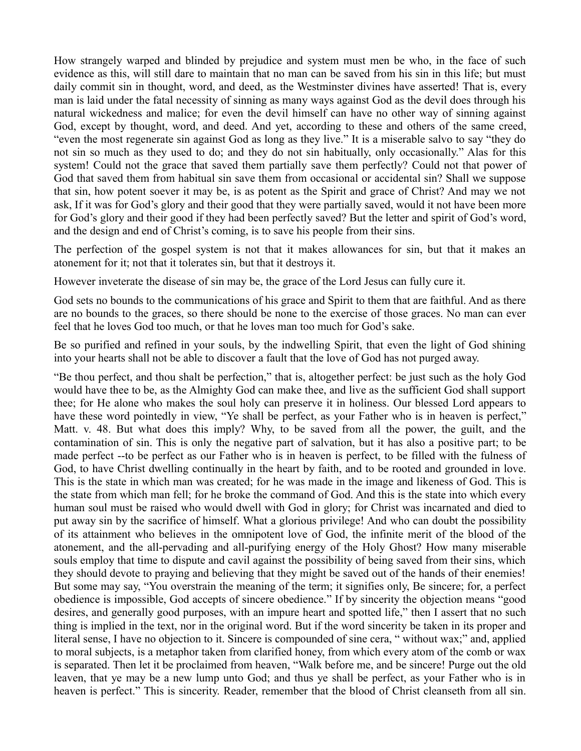How strangely warped and blinded by prejudice and system must men be who, in the face of such evidence as this, will still dare to maintain that no man can be saved from his sin in this life; but must daily commit sin in thought, word, and deed, as the Westminster divines have asserted! That is, every man is laid under the fatal necessity of sinning as many ways against God as the devil does through his natural wickedness and malice; for even the devil himself can have no other way of sinning against God, except by thought, word, and deed. And yet, according to these and others of the same creed, "even the most regenerate sin against God as long as they live." It is a miserable salvo to say "they do not sin so much as they used to do; and they do not sin habitually, only occasionally." Alas for this system! Could not the grace that saved them partially save them perfectly? Could not that power of God that saved them from habitual sin save them from occasional or accidental sin? Shall we suppose that sin, how potent soever it may be, is as potent as the Spirit and grace of Christ? And may we not ask, If it was for God's glory and their good that they were partially saved, would it not have been more for God's glory and their good if they had been perfectly saved? But the letter and spirit of God's word, and the design and end of Christ's coming, is to save his people from their sins.

The perfection of the gospel system is not that it makes allowances for sin, but that it makes an atonement for it; not that it tolerates sin, but that it destroys it.

However inveterate the disease of sin may be, the grace of the Lord Jesus can fully cure it.

God sets no bounds to the communications of his grace and Spirit to them that are faithful. And as there are no bounds to the graces, so there should be none to the exercise of those graces. No man can ever feel that he loves God too much, or that he loves man too much for God's sake.

Be so purified and refined in your souls, by the indwelling Spirit, that even the light of God shining into your hearts shall not be able to discover a fault that the love of God has not purged away.

"Be thou perfect, and thou shalt be perfection," that is, altogether perfect: be just such as the holy God would have thee to be, as the Almighty God can make thee, and live as the sufficient God shall support thee; for He alone who makes the soul holy can preserve it in holiness. Our blessed Lord appears to have these word pointedly in view, "Ye shall be perfect, as your Father who is in heaven is perfect," Matt. v. 48. But what does this imply? Why, to be saved from all the power, the guilt, and the contamination of sin. This is only the negative part of salvation, but it has also a positive part; to be made perfect --to be perfect as our Father who is in heaven is perfect, to be filled with the fulness of God, to have Christ dwelling continually in the heart by faith, and to be rooted and grounded in love. This is the state in which man was created; for he was made in the image and likeness of God. This is the state from which man fell; for he broke the command of God. And this is the state into which every human soul must be raised who would dwell with God in glory; for Christ was incarnated and died to put away sin by the sacrifice of himself. What a glorious privilege! And who can doubt the possibility of its attainment who believes in the omnipotent love of God, the infinite merit of the blood of the atonement, and the all-pervading and all-purifying energy of the Holy Ghost? How many miserable souls employ that time to dispute and cavil against the possibility of being saved from their sins, which they should devote to praying and believing that they might be saved out of the hands of their enemies! But some may say, "You overstrain the meaning of the term; it signifies only, Be sincere; for, a perfect obedience is impossible, God accepts of sincere obedience." If by sincerity the objection means "good desires, and generally good purposes, with an impure heart and spotted life," then I assert that no such thing is implied in the text, nor in the original word. But if the word sincerity be taken in its proper and literal sense, I have no objection to it. Sincere is compounded of sine cera, " without wax;" and, applied to moral subjects, is a metaphor taken from clarified honey, from which every atom of the comb or wax is separated. Then let it be proclaimed from heaven, "Walk before me, and be sincere! Purge out the old leaven, that ye may be a new lump unto God; and thus ye shall be perfect, as your Father who is in heaven is perfect." This is sincerity. Reader, remember that the blood of Christ cleanseth from all sin.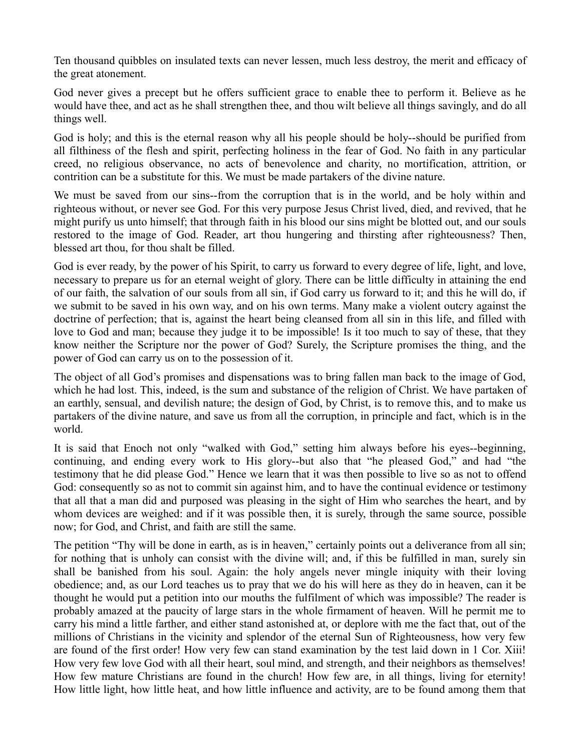Ten thousand quibbles on insulated texts can never lessen, much less destroy, the merit and efficacy of the great atonement.

God never gives a precept but he offers sufficient grace to enable thee to perform it. Believe as he would have thee, and act as he shall strengthen thee, and thou wilt believe all things savingly, and do all things well.

God is holy; and this is the eternal reason why all his people should be holy--should be purified from all filthiness of the flesh and spirit, perfecting holiness in the fear of God. No faith in any particular creed, no religious observance, no acts of benevolence and charity, no mortification, attrition, or contrition can be a substitute for this. We must be made partakers of the divine nature.

We must be saved from our sins--from the corruption that is in the world, and be holy within and righteous without, or never see God. For this very purpose Jesus Christ lived, died, and revived, that he might purify us unto himself; that through faith in his blood our sins might be blotted out, and our souls restored to the image of God. Reader, art thou hungering and thirsting after righteousness? Then, blessed art thou, for thou shalt be filled.

God is ever ready, by the power of his Spirit, to carry us forward to every degree of life, light, and love, necessary to prepare us for an eternal weight of glory. There can be little difficulty in attaining the end of our faith, the salvation of our souls from all sin, if God carry us forward to it; and this he will do, if we submit to be saved in his own way, and on his own terms. Many make a violent outcry against the doctrine of perfection; that is, against the heart being cleansed from all sin in this life, and filled with love to God and man; because they judge it to be impossible! Is it too much to say of these, that they know neither the Scripture nor the power of God? Surely, the Scripture promises the thing, and the power of God can carry us on to the possession of it.

The object of all God's promises and dispensations was to bring fallen man back to the image of God, which he had lost. This, indeed, is the sum and substance of the religion of Christ. We have partaken of an earthly, sensual, and devilish nature; the design of God, by Christ, is to remove this, and to make us partakers of the divine nature, and save us from all the corruption, in principle and fact, which is in the world.

It is said that Enoch not only "walked with God," setting him always before his eyes--beginning, continuing, and ending every work to His glory--but also that "he pleased God," and had "the testimony that he did please God." Hence we learn that it was then possible to live so as not to offend God: consequently so as not to commit sin against him, and to have the continual evidence or testimony that all that a man did and purposed was pleasing in the sight of Him who searches the heart, and by whom devices are weighed: and if it was possible then, it is surely, through the same source, possible now; for God, and Christ, and faith are still the same.

The petition "Thy will be done in earth, as is in heaven," certainly points out a deliverance from all sin; for nothing that is unholy can consist with the divine will; and, if this be fulfilled in man, surely sin shall be banished from his soul. Again: the holy angels never mingle iniquity with their loving obedience; and, as our Lord teaches us to pray that we do his will here as they do in heaven, can it be thought he would put a petition into our mouths the fulfilment of which was impossible? The reader is probably amazed at the paucity of large stars in the whole firmament of heaven. Will he permit me to carry his mind a little farther, and either stand astonished at, or deplore with me the fact that, out of the millions of Christians in the vicinity and splendor of the eternal Sun of Righteousness, how very few are found of the first order! How very few can stand examination by the test laid down in 1 Cor. Xiii! How very few love God with all their heart, soul mind, and strength, and their neighbors as themselves! How few mature Christians are found in the church! How few are, in all things, living for eternity! How little light, how little heat, and how little influence and activity, are to be found among them that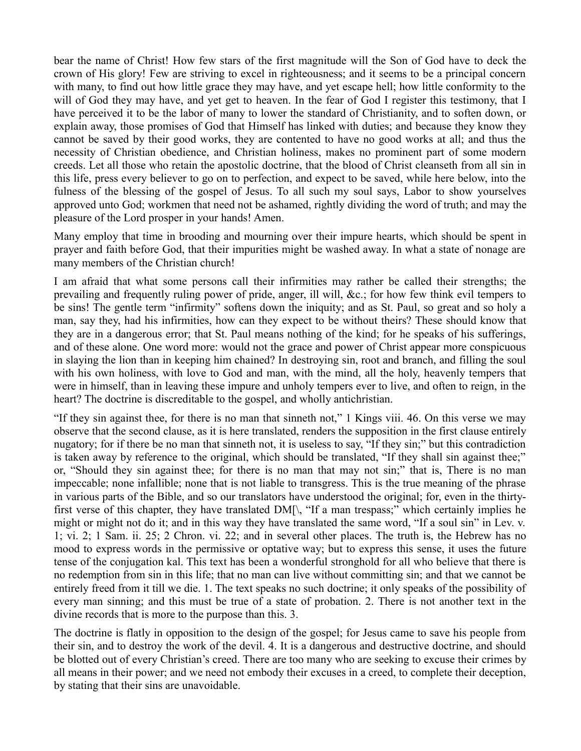bear the name of Christ! How few stars of the first magnitude will the Son of God have to deck the crown of His glory! Few are striving to excel in righteousness; and it seems to be a principal concern with many, to find out how little grace they may have, and yet escape hell; how little conformity to the will of God they may have, and yet get to heaven. In the fear of God I register this testimony, that I have perceived it to be the labor of many to lower the standard of Christianity, and to soften down, or explain away, those promises of God that Himself has linked with duties; and because they know they cannot be saved by their good works, they are contented to have no good works at all; and thus the necessity of Christian obedience, and Christian holiness, makes no prominent part of some modern creeds. Let all those who retain the apostolic doctrine, that the blood of Christ cleanseth from all sin in this life, press every believer to go on to perfection, and expect to be saved, while here below, into the fulness of the blessing of the gospel of Jesus. To all such my soul says, Labor to show yourselves approved unto God; workmen that need not be ashamed, rightly dividing the word of truth; and may the pleasure of the Lord prosper in your hands! Amen.

Many employ that time in brooding and mourning over their impure hearts, which should be spent in prayer and faith before God, that their impurities might be washed away. In what a state of nonage are many members of the Christian church!

I am afraid that what some persons call their infirmities may rather be called their strengths; the prevailing and frequently ruling power of pride, anger, ill will, &c.; for how few think evil tempers to be sins! The gentle term "infirmity" softens down the iniquity; and as St. Paul, so great and so holy a man, say they, had his infirmities, how can they expect to be without theirs? These should know that they are in a dangerous error; that St. Paul means nothing of the kind; for he speaks of his sufferings, and of these alone. One word more: would not the grace and power of Christ appear more conspicuous in slaying the lion than in keeping him chained? In destroying sin, root and branch, and filling the soul with his own holiness, with love to God and man, with the mind, all the holy, heavenly tempers that were in himself, than in leaving these impure and unholy tempers ever to live, and often to reign, in the heart? The doctrine is discreditable to the gospel, and wholly antichristian.

"If they sin against thee, for there is no man that sinneth not," 1 Kings viii. 46. On this verse we may observe that the second clause, as it is here translated, renders the supposition in the first clause entirely nugatory; for if there be no man that sinneth not, it is useless to say, "If they sin;" but this contradiction is taken away by reference to the original, which should be translated, "If they shall sin against thee;" or, "Should they sin against thee; for there is no man that may not sin;" that is, There is no man impeccable; none infallible; none that is not liable to transgress. This is the true meaning of the phrase in various parts of the Bible, and so our translators have understood the original; for, even in the thirtyfirst verse of this chapter, they have translated DM[\, "If a man trespass;" which certainly implies he might or might not do it; and in this way they have translated the same word, "If a soul sin" in Lev. v. 1; vi. 2; 1 Sam. ii. 25; 2 Chron. vi. 22; and in several other places. The truth is, the Hebrew has no mood to express words in the permissive or optative way; but to express this sense, it uses the future tense of the conjugation kal. This text has been a wonderful stronghold for all who believe that there is no redemption from sin in this life; that no man can live without committing sin; and that we cannot be entirely freed from it till we die. 1. The text speaks no such doctrine; it only speaks of the possibility of every man sinning; and this must be true of a state of probation. 2. There is not another text in the divine records that is more to the purpose than this. 3.

The doctrine is flatly in opposition to the design of the gospel; for Jesus came to save his people from their sin, and to destroy the work of the devil. 4. It is a dangerous and destructive doctrine, and should be blotted out of every Christian's creed. There are too many who are seeking to excuse their crimes by all means in their power; and we need not embody their excuses in a creed, to complete their deception, by stating that their sins are unavoidable.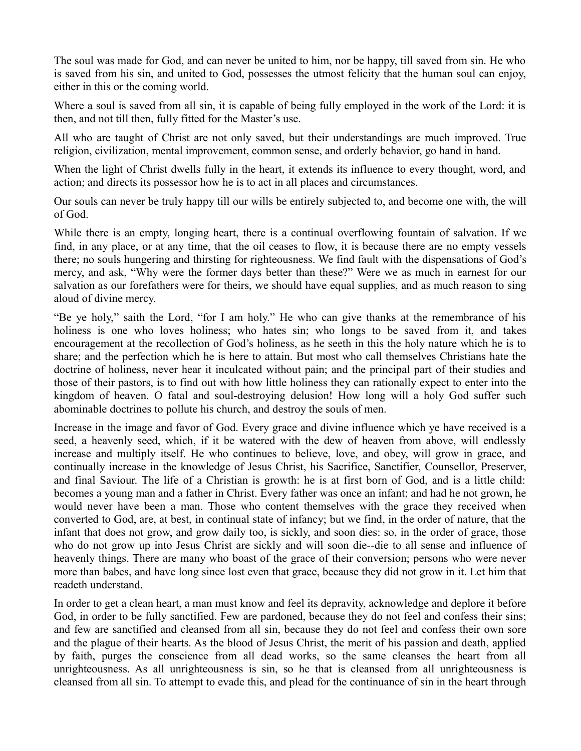The soul was made for God, and can never be united to him, nor be happy, till saved from sin. He who is saved from his sin, and united to God, possesses the utmost felicity that the human soul can enjoy, either in this or the coming world.

Where a soul is saved from all sin, it is capable of being fully employed in the work of the Lord: it is then, and not till then, fully fitted for the Master's use.

All who are taught of Christ are not only saved, but their understandings are much improved. True religion, civilization, mental improvement, common sense, and orderly behavior, go hand in hand.

When the light of Christ dwells fully in the heart, it extends its influence to every thought, word, and action; and directs its possessor how he is to act in all places and circumstances.

Our souls can never be truly happy till our wills be entirely subjected to, and become one with, the will of God.

While there is an empty, longing heart, there is a continual overflowing fountain of salvation. If we find, in any place, or at any time, that the oil ceases to flow, it is because there are no empty vessels there; no souls hungering and thirsting for righteousness. We find fault with the dispensations of God's mercy, and ask, "Why were the former days better than these?" Were we as much in earnest for our salvation as our forefathers were for theirs, we should have equal supplies, and as much reason to sing aloud of divine mercy.

"Be ye holy," saith the Lord, "for I am holy." He who can give thanks at the remembrance of his holiness is one who loves holiness; who hates sin; who longs to be saved from it, and takes encouragement at the recollection of God's holiness, as he seeth in this the holy nature which he is to share; and the perfection which he is here to attain. But most who call themselves Christians hate the doctrine of holiness, never hear it inculcated without pain; and the principal part of their studies and those of their pastors, is to find out with how little holiness they can rationally expect to enter into the kingdom of heaven. O fatal and soul-destroying delusion! How long will a holy God suffer such abominable doctrines to pollute his church, and destroy the souls of men.

Increase in the image and favor of God. Every grace and divine influence which ye have received is a seed, a heavenly seed, which, if it be watered with the dew of heaven from above, will endlessly increase and multiply itself. He who continues to believe, love, and obey, will grow in grace, and continually increase in the knowledge of Jesus Christ, his Sacrifice, Sanctifier, Counsellor, Preserver, and final Saviour. The life of a Christian is growth: he is at first born of God, and is a little child: becomes a young man and a father in Christ. Every father was once an infant; and had he not grown, he would never have been a man. Those who content themselves with the grace they received when converted to God, are, at best, in continual state of infancy; but we find, in the order of nature, that the infant that does not grow, and grow daily too, is sickly, and soon dies: so, in the order of grace, those who do not grow up into Jesus Christ are sickly and will soon die--die to all sense and influence of heavenly things. There are many who boast of the grace of their conversion; persons who were never more than babes, and have long since lost even that grace, because they did not grow in it. Let him that readeth understand.

In order to get a clean heart, a man must know and feel its depravity, acknowledge and deplore it before God, in order to be fully sanctified. Few are pardoned, because they do not feel and confess their sins; and few are sanctified and cleansed from all sin, because they do not feel and confess their own sore and the plague of their hearts. As the blood of Jesus Christ, the merit of his passion and death, applied by faith, purges the conscience from all dead works, so the same cleanses the heart from all unrighteousness. As all unrighteousness is sin, so he that is cleansed from all unrighteousness is cleansed from all sin. To attempt to evade this, and plead for the continuance of sin in the heart through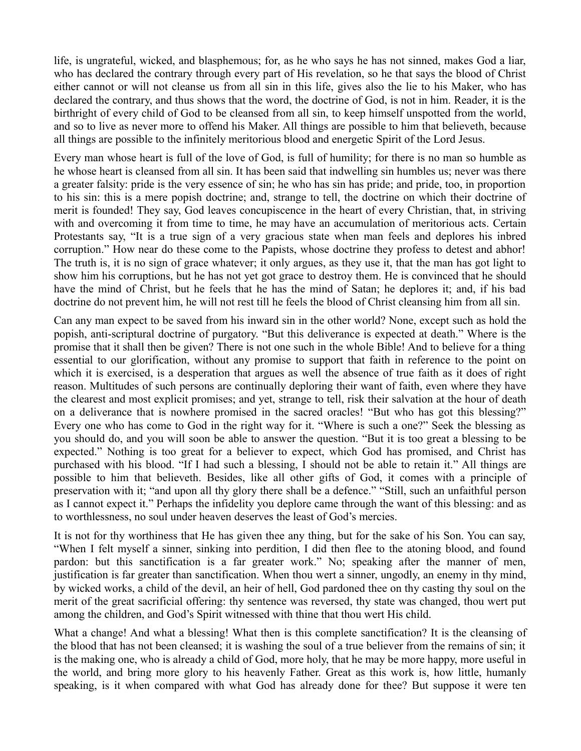life, is ungrateful, wicked, and blasphemous; for, as he who says he has not sinned, makes God a liar, who has declared the contrary through every part of His revelation, so he that says the blood of Christ either cannot or will not cleanse us from all sin in this life, gives also the lie to his Maker, who has declared the contrary, and thus shows that the word, the doctrine of God, is not in him. Reader, it is the birthright of every child of God to be cleansed from all sin, to keep himself unspotted from the world, and so to live as never more to offend his Maker. All things are possible to him that believeth, because all things are possible to the infinitely meritorious blood and energetic Spirit of the Lord Jesus.

Every man whose heart is full of the love of God, is full of humility; for there is no man so humble as he whose heart is cleansed from all sin. It has been said that indwelling sin humbles us; never was there a greater falsity: pride is the very essence of sin; he who has sin has pride; and pride, too, in proportion to his sin: this is a mere popish doctrine; and, strange to tell, the doctrine on which their doctrine of merit is founded! They say, God leaves concupiscence in the heart of every Christian, that, in striving with and overcoming it from time to time, he may have an accumulation of meritorious acts. Certain Protestants say, "It is a true sign of a very gracious state when man feels and deplores his inbred corruption." How near do these come to the Papists, whose doctrine they profess to detest and abhor! The truth is, it is no sign of grace whatever; it only argues, as they use it, that the man has got light to show him his corruptions, but he has not yet got grace to destroy them. He is convinced that he should have the mind of Christ, but he feels that he has the mind of Satan; he deplores it; and, if his bad doctrine do not prevent him, he will not rest till he feels the blood of Christ cleansing him from all sin.

Can any man expect to be saved from his inward sin in the other world? None, except such as hold the popish, anti-scriptural doctrine of purgatory. "But this deliverance is expected at death." Where is the promise that it shall then be given? There is not one such in the whole Bible! And to believe for a thing essential to our glorification, without any promise to support that faith in reference to the point on which it is exercised, is a desperation that argues as well the absence of true faith as it does of right reason. Multitudes of such persons are continually deploring their want of faith, even where they have the clearest and most explicit promises; and yet, strange to tell, risk their salvation at the hour of death on a deliverance that is nowhere promised in the sacred oracles! "But who has got this blessing?" Every one who has come to God in the right way for it. "Where is such a one?" Seek the blessing as you should do, and you will soon be able to answer the question. "But it is too great a blessing to be expected." Nothing is too great for a believer to expect, which God has promised, and Christ has purchased with his blood. "If I had such a blessing, I should not be able to retain it." All things are possible to him that believeth. Besides, like all other gifts of God, it comes with a principle of preservation with it; "and upon all thy glory there shall be a defence." "Still, such an unfaithful person as I cannot expect it." Perhaps the infidelity you deplore came through the want of this blessing: and as to worthlessness, no soul under heaven deserves the least of God's mercies.

It is not for thy worthiness that He has given thee any thing, but for the sake of his Son. You can say, "When I felt myself a sinner, sinking into perdition, I did then flee to the atoning blood, and found pardon: but this sanctification is a far greater work." No; speaking after the manner of men, justification is far greater than sanctification. When thou wert a sinner, ungodly, an enemy in thy mind, by wicked works, a child of the devil, an heir of hell, God pardoned thee on thy casting thy soul on the merit of the great sacrificial offering: thy sentence was reversed, thy state was changed, thou wert put among the children, and God's Spirit witnessed with thine that thou wert His child.

What a change! And what a blessing! What then is this complete sanctification? It is the cleansing of the blood that has not been cleansed; it is washing the soul of a true believer from the remains of sin; it is the making one, who is already a child of God, more holy, that he may be more happy, more useful in the world, and bring more glory to his heavenly Father. Great as this work is, how little, humanly speaking, is it when compared with what God has already done for thee? But suppose it were ten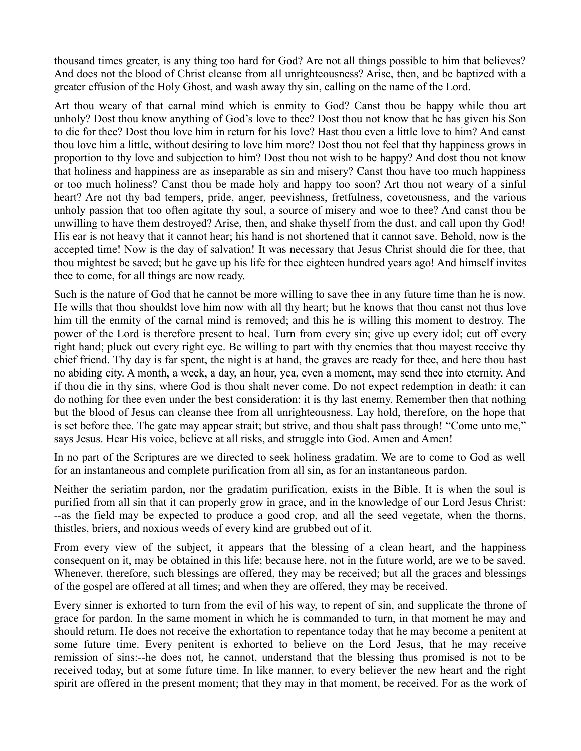thousand times greater, is any thing too hard for God? Are not all things possible to him that believes? And does not the blood of Christ cleanse from all unrighteousness? Arise, then, and be baptized with a greater effusion of the Holy Ghost, and wash away thy sin, calling on the name of the Lord.

Art thou weary of that carnal mind which is enmity to God? Canst thou be happy while thou art unholy? Dost thou know anything of God's love to thee? Dost thou not know that he has given his Son to die for thee? Dost thou love him in return for his love? Hast thou even a little love to him? And canst thou love him a little, without desiring to love him more? Dost thou not feel that thy happiness grows in proportion to thy love and subjection to him? Dost thou not wish to be happy? And dost thou not know that holiness and happiness are as inseparable as sin and misery? Canst thou have too much happiness or too much holiness? Canst thou be made holy and happy too soon? Art thou not weary of a sinful heart? Are not thy bad tempers, pride, anger, peevishness, fretfulness, covetousness, and the various unholy passion that too often agitate thy soul, a source of misery and woe to thee? And canst thou be unwilling to have them destroyed? Arise, then, and shake thyself from the dust, and call upon thy God! His ear is not heavy that it cannot hear; his hand is not shortened that it cannot save. Behold, now is the accepted time! Now is the day of salvation! It was necessary that Jesus Christ should die for thee, that thou mightest be saved; but he gave up his life for thee eighteen hundred years ago! And himself invites thee to come, for all things are now ready.

Such is the nature of God that he cannot be more willing to save thee in any future time than he is now. He wills that thou shouldst love him now with all thy heart; but he knows that thou canst not thus love him till the enmity of the carnal mind is removed; and this he is willing this moment to destroy. The power of the Lord is therefore present to heal. Turn from every sin; give up every idol; cut off every right hand; pluck out every right eye. Be willing to part with thy enemies that thou mayest receive thy chief friend. Thy day is far spent, the night is at hand, the graves are ready for thee, and here thou hast no abiding city. A month, a week, a day, an hour, yea, even a moment, may send thee into eternity. And if thou die in thy sins, where God is thou shalt never come. Do not expect redemption in death: it can do nothing for thee even under the best consideration: it is thy last enemy. Remember then that nothing but the blood of Jesus can cleanse thee from all unrighteousness. Lay hold, therefore, on the hope that is set before thee. The gate may appear strait; but strive, and thou shalt pass through! "Come unto me," says Jesus. Hear His voice, believe at all risks, and struggle into God. Amen and Amen!

In no part of the Scriptures are we directed to seek holiness gradatim. We are to come to God as well for an instantaneous and complete purification from all sin, as for an instantaneous pardon.

Neither the seriatim pardon, nor the gradatim purification, exists in the Bible. It is when the soul is purified from all sin that it can properly grow in grace, and in the knowledge of our Lord Jesus Christ: --as the field may be expected to produce a good crop, and all the seed vegetate, when the thorns, thistles, briers, and noxious weeds of every kind are grubbed out of it.

From every view of the subject, it appears that the blessing of a clean heart, and the happiness consequent on it, may be obtained in this life; because here, not in the future world, are we to be saved. Whenever, therefore, such blessings are offered, they may be received; but all the graces and blessings of the gospel are offered at all times; and when they are offered, they may be received.

Every sinner is exhorted to turn from the evil of his way, to repent of sin, and supplicate the throne of grace for pardon. In the same moment in which he is commanded to turn, in that moment he may and should return. He does not receive the exhortation to repentance today that he may become a penitent at some future time. Every penitent is exhorted to believe on the Lord Jesus, that he may receive remission of sins:--he does not, he cannot, understand that the blessing thus promised is not to be received today, but at some future time. In like manner, to every believer the new heart and the right spirit are offered in the present moment; that they may in that moment, be received. For as the work of